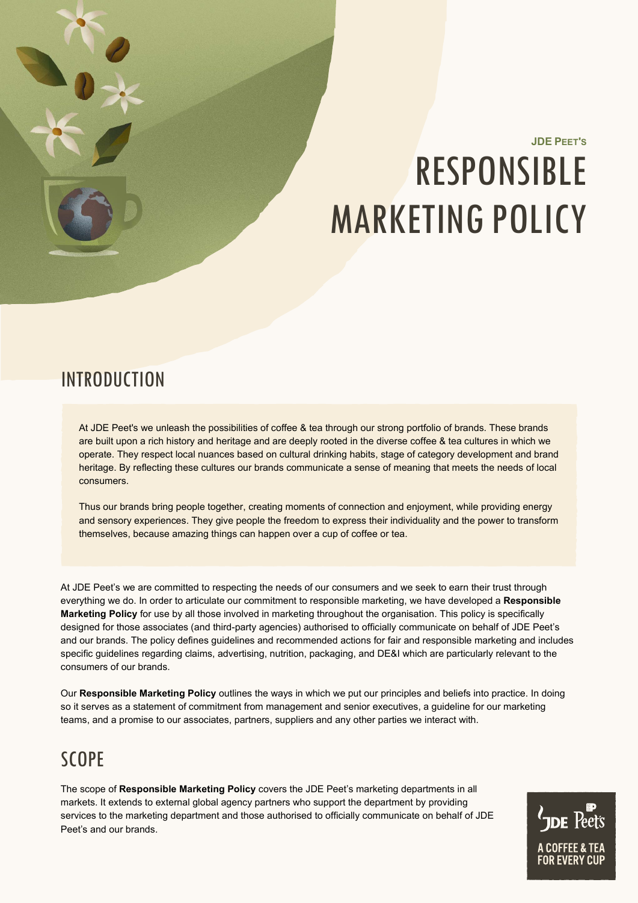# **JDE PEET'S** RESPONSIBLE MARKETING POLICY

## **INTRODUCTION**

At JDE Peet's we unleash the possibilities of coffee & tea through our strong portfolio of brands. These brands are built upon a rich history and heritage and are deeply rooted in the diverse coffee & tea cultures in which we operate. They respect local nuances based on cultural drinking habits, stage of category development and brand heritage. By reflecting these cultures our brands communicate a sense of meaning that meets the needs of local consumers.

Thus our brands bring people together, creating moments of connection and enjoyment, while providing energy and sensory experiences. They give people the freedom to express their individuality and the power to transform themselves, because amazing things can happen over a cup of coffee or tea.

At JDE Peet's we are committed to respecting the needs of our consumers and we seek to earn their trust through everything we do. In order to articulate our commitment to responsible marketing, we have developed a **Responsible Marketing Policy** for use by all those involved in marketing throughout the organisation. This policy is specifically designed for those associates (and third-party agencies) authorised to officially communicate on behalf of JDE Peet's and our brands. The policy defines guidelines and recommended actions for fair and responsible marketing and includes specific guidelines regarding claims, advertising, nutrition, packaging, and DE&I which are particularly relevant to the consumers of our brands.

Our **Responsible Marketing Policy** outlines the ways in which we put our principles and beliefs into practice. In doing so it serves as a statement of commitment from management and senior executives, a guideline for our marketing teams, and a promise to our associates, partners, suppliers and any other parties we interact with.

# SCOPE

The scope of **Responsible Marketing Policy** covers the JDE Peet's marketing departments in all markets. It extends to external global agency partners who support the department by providing services to the marketing department and those authorised to officially communicate on behalf of JDE Peet's and our brands.

**JDE** Peets A COFFEE & TEA **FOR FVFRY CUP**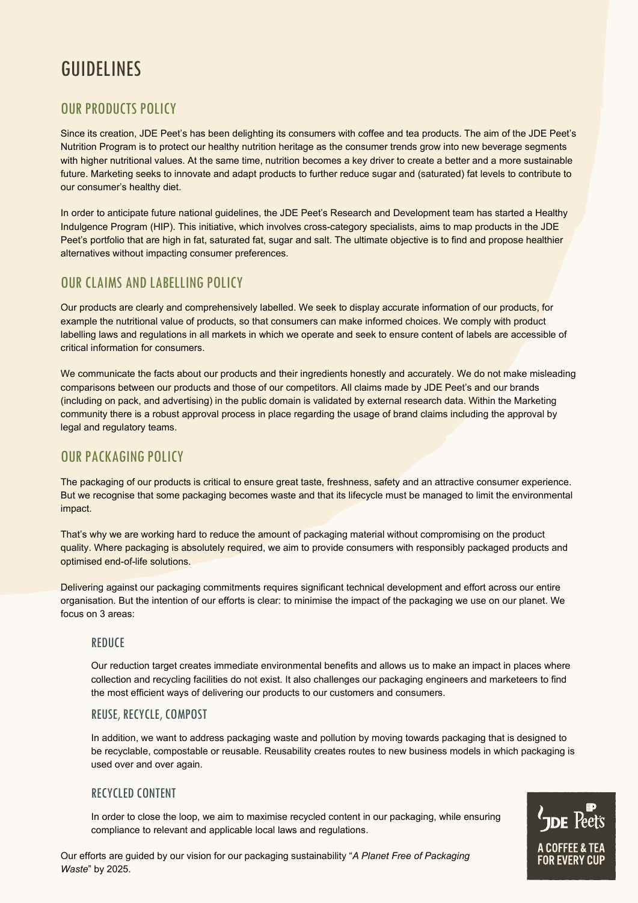# GUIDELINES

### OUR PRODUCTS POLICY

Since its creation, JDE Peet's has been delighting its consumers with coffee and tea products. The aim of the JDE Peet's Nutrition Program is to protect our healthy nutrition heritage as the consumer trends grow into new beverage segments with higher nutritional values. At the same time, nutrition becomes a key driver to create a better and a more sustainable future. Marketing seeks to innovate and adapt products to further reduce sugar and (saturated) fat levels to contribute to our consumer's healthy diet.

In order to anticipate future national guidelines, the JDE Peet's Research and Development team has started a Healthy Indulgence Program (HIP). This initiative, which involves cross-category specialists, aims to map products in the JDE Peet's portfolio that are high in fat, saturated fat, sugar and salt. The ultimate objective is to find and propose healthier alternatives without impacting consumer preferences.

### OUR CLAIMS AND LABELLING POLICY

Our products are clearly and comprehensively labelled. We seek to display accurate information of our products, for example the nutritional value of products, so that consumers can make informed choices. We comply with product labelling laws and regulations in all markets in which we operate and seek to ensure content of labels are accessible of critical information for consumers.

We communicate the facts about our products and their ingredients honestly and accurately. We do not make misleading comparisons between our products and those of our competitors. All claims made by JDE Peet's and our brands (including on pack, and advertising) in the public domain is validated by external research data. Within the Marketing community there is a robust approval process in place regarding the usage of brand claims including the approval by legal and regulatory teams.

### OUR PACKAGING POLICY

The packaging of our products is critical to ensure great taste, freshness, safety and an attractive consumer experience. But we recognise that some packaging becomes waste and that its lifecycle must be managed to limit the environmental impact.

That's why we are working hard to reduce the amount of packaging material without compromising on the product quality. Where packaging is absolutely required, we aim to provide consumers with responsibly packaged products and optimised end-of-life solutions.

Delivering against our packaging commitments requires significant technical development and effort across our entire organisation. But the intention of our efforts is clear: to minimise the impact of the packaging we use on our planet. We focus on 3 areas:

#### **REDUCE**

Our reduction target creates immediate environmental benefits and allows us to make an impact in places where collection and recycling facilities do not exist. It also challenges our packaging engineers and marketeers to find the most efficient ways of delivering our products to our customers and consumers.

#### REUSE, RECYCLE, COMPOST

In addition, we want to address packaging waste and pollution by moving towards packaging that is designed to be recyclable, compostable or reusable. Reusability creates routes to new business models in which packaging is used over and over again.

#### RECYCLED CONTENT

In order to close the loop, we aim to maximise recycled content in our packaging, while ensuring compliance to relevant and applicable local laws and regulations.

Our efforts are guided by our vision for our packaging sustainability "*A Planet Free of Packaging Waste*" by 2025.

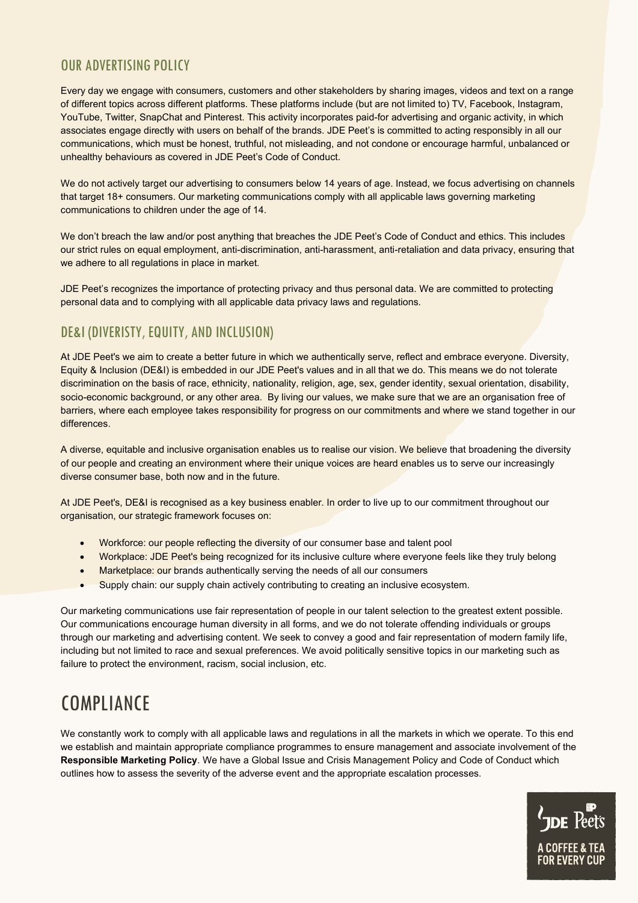### OUR ADVERTISING POLICY

Every day we engage with consumers, customers and other stakeholders by sharing images, videos and text on a range of different topics across different platforms. These platforms include (but are not limited to) TV, Facebook, Instagram, YouTube, Twitter, SnapChat and Pinterest. This activity incorporates paid-for advertising and organic activity, in which associates engage directly with users on behalf of the brands. JDE Peet's is committed to acting responsibly in all our communications, which must be honest, truthful, not misleading, and not condone or encourage harmful, unbalanced or unhealthy behaviours as covered in JDE Peet's Code of Conduct.

We do not actively target our advertising to consumers below 14 years of age. Instead, we focus advertising on channels that target 18+ consumers. Our marketing communications comply with all applicable laws governing marketing communications to children under the age of 14.

We don't breach the law and/or post anything that breaches the JDE Peet's Code of Conduct and ethics. This includes our strict rules on equal employment, anti-discrimination, anti-harassment, anti-retaliation and data privacy, ensuring that we adhere to all regulations in place in market.

JDE Peet's recognizes the importance of protecting privacy and thus personal data. We are committed to protecting personal data and to complying with all applicable data privacy laws and regulations.

### DE&I (DIVERISTY, EQUITY, AND INCLUSION)

At JDE Peet's we aim to create a better future in which we authentically serve, reflect and embrace everyone. Diversity, Equity & Inclusion (DE&I) is embedded in our JDE Peet's values and in all that we do. This means we do not tolerate discrimination on the basis of race, ethnicity, nationality, religion, age, sex, gender identity, sexual orientation, disability, socio-economic background, or any other area. By living our values, we make sure that we are an organisation free of barriers, where each employee takes responsibility for progress on our commitments and where we stand together in our differences.

A diverse, equitable and inclusive organisation enables us to realise our vision. We believe that broadening the diversity of our people and creating an environment where their unique voices are heard enables us to serve our increasingly diverse consumer base, both now and in the future.

At JDE Peet's, DE&I is recognised as a key business enabler. In order to live up to our commitment throughout our organisation, our strategic framework focuses on:

- Workforce: our people reflecting the diversity of our consumer base and talent pool
- Workplace: JDE Peet's being recognized for its inclusive culture where everyone feels like they truly belong
- Marketplace: our brands authentically serving the needs of all our consumers
- Supply chain: our supply chain actively contributing to creating an inclusive ecosystem.

Our marketing communications use fair representation of people in our talent selection to the greatest extent possible. Our communications encourage human diversity in all forms, and we do not tolerate offending individuals or groups through our marketing and advertising content. We seek to convey a good and fair representation of modern family life, including but not limited to race and sexual preferences. We avoid politically sensitive topics in our marketing such as failure to protect the environment, racism, social inclusion, etc.

# **COMPLIANCE**

We constantly work to comply with all applicable laws and regulations in all the markets in which we operate. To this end we establish and maintain appropriate compliance programmes to ensure management and associate involvement of the **Responsible Marketing Policy**. We have a Global Issue and Crisis Management Policy and Code of Conduct which outlines how to assess the severity of the adverse event and the appropriate escalation processes.